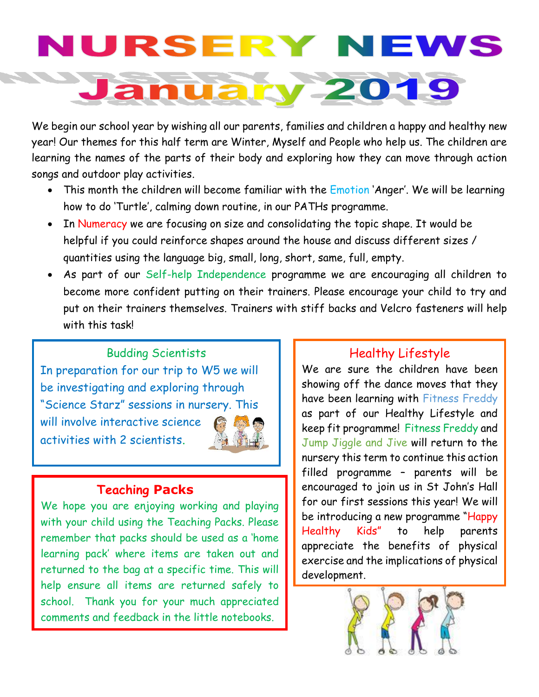## RSER **TERM**  $7 - 2$ 01

We begin our school year by wishing all our parents, families and children a happy and healthy new year! Our themes for this half term are Winter, Myself and People who help us. The children are learning the names of the parts of their body and exploring how they can move through action songs and outdoor play activities.

- This month the children will become familiar with the *Emotion* 'Anger'. We will be learning how to do 'Turtle', calming down routine, in our PATHs programme.
- In Numeracy we are focusing on size and consolidating the topic shape. It would be helpful if you could reinforce shapes around the house and discuss different sizes / quantities using the language big, small, long, short, same, full, empty.
- As part of our Self-help Independence programme we are encouraging all children to become more confident putting on their trainers. Please encourage your child to try and put on their trainers themselves. Trainers with stiff backs and Velcro fasteners will help with this task!

Budding Scientists In preparation for our trip to W5 we will be investigating and exploring through "Science Starz" sessions in nursery. This will involve interactive science activities with 2 scientists.

#### **Teaching Packs**

We hope you are enjoying working and playing with your child using the Teaching Packs. Please remember that packs should be used as a 'home learning pack' where items are taken out and returned to the bag at a specific time. This will help ensure all items are returned safely to school. Thank you for your much appreciated comments and feedback in the little notebooks.

### Healthy Lifestyle

We are sure the children have been showing off the dance moves that they have been learning with Fitness Freddy as part of our Healthy Lifestyle and keep fit programme! Fitness Freddy and Jump Jiggle and Jive will return to the nursery this term to continue this action filled programme – parents will be encouraged to join us in St John's Hall for our first sessions this year! We will be introducing a new programme "Happy Healthy Kids" to help parents appreciate the benefits of physical exercise and the implications of physical development.